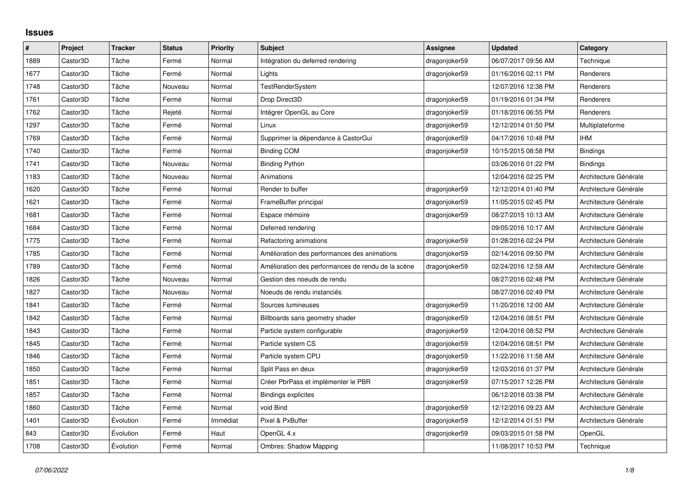## **Issues**

| $\sharp$ | Project  | <b>Tracker</b> | <b>Status</b> | Priority | <b>Subject</b>                                     | Assignee      | <b>Updated</b>      | Category              |
|----------|----------|----------------|---------------|----------|----------------------------------------------------|---------------|---------------------|-----------------------|
| 1889     | Castor3D | Tâche          | Fermé         | Normal   | Intégration du deferred rendering                  | dragonjoker59 | 06/07/2017 09:56 AM | Technique             |
| 1677     | Castor3D | Tâche          | Fermé         | Normal   | Lights                                             | dragonjoker59 | 01/16/2016 02:11 PM | Renderers             |
| 1748     | Castor3D | Tâche          | Nouveau       | Normal   | <b>TestRenderSystem</b>                            |               | 12/07/2016 12:38 PM | Renderers             |
| 1761     | Castor3D | Tâche          | Fermé         | Normal   | Drop Direct3D                                      | dragonjoker59 | 01/19/2016 01:34 PM | Renderers             |
| 1762     | Castor3D | Tâche          | Rejeté        | Normal   | Intégrer OpenGL au Core                            | dragonjoker59 | 01/18/2016 06:55 PM | Renderers             |
| 1297     | Castor3D | Tâche          | Fermé         | Normal   | Linux                                              | dragonjoker59 | 12/12/2014 01:50 PM | Multiplateforme       |
| 1769     | Castor3D | Tâche          | Fermé         | Normal   | Supprimer la dépendance à CastorGui                | dragonjoker59 | 04/17/2016 10:48 PM | <b>IHM</b>            |
| 1740     | Castor3D | Tâche          | Fermé         | Normal   | <b>Binding COM</b>                                 | dragonjoker59 | 10/15/2015 08:58 PM | <b>Bindings</b>       |
| 1741     | Castor3D | Tâche          | Nouveau       | Normal   | <b>Binding Python</b>                              |               | 03/26/2016 01:22 PM | <b>Bindings</b>       |
| 1183     | Castor3D | Tâche          | Nouveau       | Normal   | Animations                                         |               | 12/04/2016 02:25 PM | Architecture Générale |
| 1620     | Castor3D | Tâche          | Fermé         | Normal   | Render to buffer                                   | dragonjoker59 | 12/12/2014 01:40 PM | Architecture Générale |
| 1621     | Castor3D | Tâche          | Fermé         | Normal   | FrameBuffer principal                              | dragonjoker59 | 11/05/2015 02:45 PM | Architecture Générale |
| 1681     | Castor3D | Tâche          | Fermé         | Normal   | Espace mémoire                                     | dragonjoker59 | 08/27/2015 10:13 AM | Architecture Générale |
| 1684     | Castor3D | Tâche          | Fermé         | Normal   | Deferred rendering                                 |               | 09/05/2016 10:17 AM | Architecture Générale |
| 1775     | Castor3D | Tâche          | Fermé         | Normal   | Refactoring animations                             | dragonjoker59 | 01/28/2016 02:24 PM | Architecture Générale |
| 1785     | Castor3D | Tâche          | Fermé         | Normal   | Amélioration des performances des animations       | dragonjoker59 | 02/14/2016 09:50 PM | Architecture Générale |
| 1789     | Castor3D | Tâche          | Fermé         | Normal   | Amélioration des performances de rendu de la scène | dragonjoker59 | 02/24/2016 12:59 AM | Architecture Générale |
| 1826     | Castor3D | Tâche          | Nouveau       | Normal   | Gestion des noeuds de rendu                        |               | 08/27/2016 02:48 PM | Architecture Générale |
| 1827     | Castor3D | Tâche          | Nouveau       | Normal   | Noeuds de rendu instanciés                         |               | 08/27/2016 02:49 PM | Architecture Générale |
| 1841     | Castor3D | Tâche          | Fermé         | Normal   | Sources lumineuses                                 | dragonjoker59 | 11/20/2016 12:00 AM | Architecture Générale |
| 1842     | Castor3D | Tâche          | Fermé         | Normal   | Billboards sans geometry shader                    | dragonjoker59 | 12/04/2016 08:51 PM | Architecture Générale |
| 1843     | Castor3D | Tâche          | Fermé         | Normal   | Particle system configurable                       | dragonjoker59 | 12/04/2016 08:52 PM | Architecture Générale |
| 1845     | Castor3D | Tâche          | Fermé         | Normal   | Particle system CS                                 | dragonjoker59 | 12/04/2016 08:51 PM | Architecture Générale |
| 1846     | Castor3D | Tâche          | Fermé         | Normal   | Particle system CPU                                | dragonjoker59 | 11/22/2016 11:58 AM | Architecture Générale |
| 1850     | Castor3D | Tâche          | Fermé         | Normal   | Split Pass en deux                                 | dragonjoker59 | 12/03/2016 01:37 PM | Architecture Générale |
| 1851     | Castor3D | Tâche          | Fermé         | Normal   | Créer PbrPass et implémenter le PBR                | dragonjoker59 | 07/15/2017 12:26 PM | Architecture Générale |
| 1857     | Castor3D | Tâche          | Fermé         | Normal   | <b>Bindings explicites</b>                         |               | 06/12/2018 03:38 PM | Architecture Générale |
| 1860     | Castor3D | Tâche          | Fermé         | Normal   | void Bind                                          | dragonjoker59 | 12/12/2016 09:23 AM | Architecture Générale |
| 1401     | Castor3D | Évolution      | Fermé         | Immédiat | Pixel & PxBuffer                                   | dragonjoker59 | 12/12/2014 01:51 PM | Architecture Générale |
| 843      | Castor3D | Évolution      | Fermé         | Haut     | OpenGL 4.x                                         | dragonjoker59 | 09/03/2015 01:58 PM | OpenGL                |
| 1708     | Castor3D | Évolution      | Fermé         | Normal   | <b>Ombres: Shadow Mapping</b>                      |               | 11/08/2017 10:53 PM | Technique             |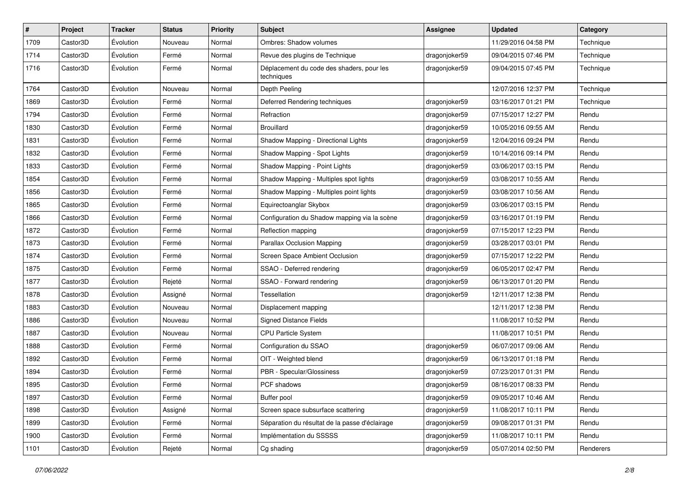| $\sharp$ | Project  | <b>Tracker</b> | <b>Status</b> | <b>Priority</b> | <b>Subject</b>                                          | <b>Assignee</b> | <b>Updated</b>      | Category  |
|----------|----------|----------------|---------------|-----------------|---------------------------------------------------------|-----------------|---------------------|-----------|
| 1709     | Castor3D | Évolution      | Nouveau       | Normal          | Ombres: Shadow volumes                                  |                 | 11/29/2016 04:58 PM | Technique |
| 1714     | Castor3D | Évolution      | Fermé         | Normal          | Revue des plugins de Technique                          | dragonjoker59   | 09/04/2015 07:46 PM | Technique |
| 1716     | Castor3D | Évolution      | Fermé         | Normal          | Déplacement du code des shaders, pour les<br>techniques | dragonjoker59   | 09/04/2015 07:45 PM | Technique |
| 1764     | Castor3D | Évolution      | Nouveau       | Normal          | Depth Peeling                                           |                 | 12/07/2016 12:37 PM | Technique |
| 1869     | Castor3D | Évolution      | Fermé         | Normal          | Deferred Rendering techniques                           | dragonjoker59   | 03/16/2017 01:21 PM | Technique |
| 1794     | Castor3D | Évolution      | Fermé         | Normal          | Refraction                                              | dragonjoker59   | 07/15/2017 12:27 PM | Rendu     |
| 1830     | Castor3D | Évolution      | Fermé         | Normal          | <b>Brouillard</b>                                       | dragonjoker59   | 10/05/2016 09:55 AM | Rendu     |
| 1831     | Castor3D | Évolution      | Fermé         | Normal          | Shadow Mapping - Directional Lights                     | dragonjoker59   | 12/04/2016 09:24 PM | Rendu     |
| 1832     | Castor3D | Évolution      | Fermé         | Normal          | Shadow Mapping - Spot Lights                            | dragonjoker59   | 10/14/2016 09:14 PM | Rendu     |
| 1833     | Castor3D | Évolution      | Fermé         | Normal          | Shadow Mapping - Point Lights                           | dragonjoker59   | 03/06/2017 03:15 PM | Rendu     |
| 1854     | Castor3D | Évolution      | Fermé         | Normal          | Shadow Mapping - Multiples spot lights                  | dragonjoker59   | 03/08/2017 10:55 AM | Rendu     |
| 1856     | Castor3D | Évolution      | Fermé         | Normal          | Shadow Mapping - Multiples point lights                 | dragonjoker59   | 03/08/2017 10:56 AM | Rendu     |
| 1865     | Castor3D | Évolution      | Fermé         | Normal          | Equirectoanglar Skybox                                  | dragonjoker59   | 03/06/2017 03:15 PM | Rendu     |
| 1866     | Castor3D | Évolution      | Fermé         | Normal          | Configuration du Shadow mapping via la scène            | dragonjoker59   | 03/16/2017 01:19 PM | Rendu     |
| 1872     | Castor3D | Évolution      | Fermé         | Normal          | Reflection mapping                                      | dragonjoker59   | 07/15/2017 12:23 PM | Rendu     |
| 1873     | Castor3D | Évolution      | Fermé         | Normal          | Parallax Occlusion Mapping                              | dragonjoker59   | 03/28/2017 03:01 PM | Rendu     |
| 1874     | Castor3D | Évolution      | Fermé         | Normal          | Screen Space Ambient Occlusion                          | dragonjoker59   | 07/15/2017 12:22 PM | Rendu     |
| 1875     | Castor3D | Évolution      | Fermé         | Normal          | SSAO - Deferred rendering                               | dragonjoker59   | 06/05/2017 02:47 PM | Rendu     |
| 1877     | Castor3D | Évolution      | Rejeté        | Normal          | SSAO - Forward rendering                                | dragonjoker59   | 06/13/2017 01:20 PM | Rendu     |
| 1878     | Castor3D | Évolution      | Assigné       | Normal          | Tessellation                                            | dragonjoker59   | 12/11/2017 12:38 PM | Rendu     |
| 1883     | Castor3D | Évolution      | Nouveau       | Normal          | Displacement mapping                                    |                 | 12/11/2017 12:38 PM | Rendu     |
| 1886     | Castor3D | Évolution      | Nouveau       | Normal          | <b>Signed Distance Fields</b>                           |                 | 11/08/2017 10:52 PM | Rendu     |
| 1887     | Castor3D | Évolution      | Nouveau       | Normal          | CPU Particle System                                     |                 | 11/08/2017 10:51 PM | Rendu     |
| 1888     | Castor3D | Évolution      | Fermé         | Normal          | Configuration du SSAO                                   | dragonjoker59   | 06/07/2017 09:06 AM | Rendu     |
| 1892     | Castor3D | Évolution      | Fermé         | Normal          | OIT - Weighted blend                                    | dragonjoker59   | 06/13/2017 01:18 PM | Rendu     |
| 1894     | Castor3D | Évolution      | Fermé         | Normal          | PBR - Specular/Glossiness                               | dragonjoker59   | 07/23/2017 01:31 PM | Rendu     |
| 1895     | Castor3D | Évolution      | Fermé         | Normal          | PCF shadows                                             | dragonjoker59   | 08/16/2017 08:33 PM | Rendu     |
| 1897     | Castor3D | Évolution      | Fermé         | Normal          | Buffer pool                                             | dragonjoker59   | 09/05/2017 10:46 AM | Rendu     |
| 1898     | Castor3D | Évolution      | Assigné       | Normal          | Screen space subsurface scattering                      | dragonjoker59   | 11/08/2017 10:11 PM | Rendu     |
| 1899     | Castor3D | Évolution      | Fermé         | Normal          | Séparation du résultat de la passe d'éclairage          | dragonjoker59   | 09/08/2017 01:31 PM | Rendu     |
| 1900     | Castor3D | Évolution      | Fermé         | Normal          | Implémentation du SSSSS                                 | dragonjoker59   | 11/08/2017 10:11 PM | Rendu     |
| 1101     | Castor3D | Évolution      | Rejeté        | Normal          | Cg shading                                              | dragonjoker59   | 05/07/2014 02:50 PM | Renderers |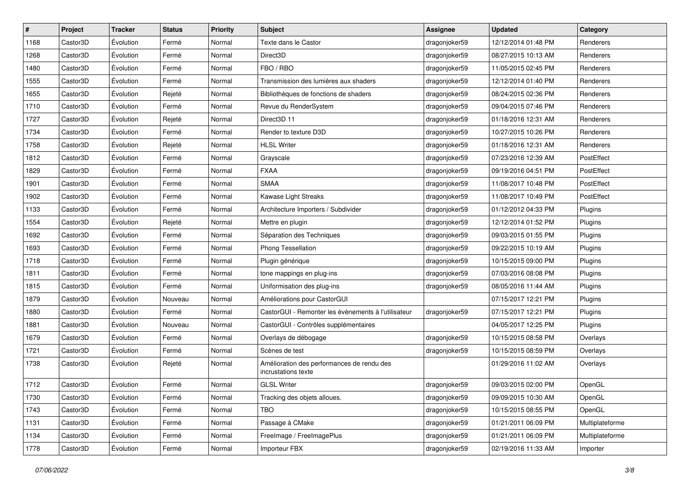| $\pmb{\#}$ | Project  | <b>Tracker</b> | <b>Status</b> | <b>Priority</b> | <b>Subject</b>                                                    | <b>Assignee</b> | <b>Updated</b>      | Category        |
|------------|----------|----------------|---------------|-----------------|-------------------------------------------------------------------|-----------------|---------------------|-----------------|
| 1168       | Castor3D | Évolution      | Fermé         | Normal          | Texte dans le Castor                                              | dragonjoker59   | 12/12/2014 01:48 PM | Renderers       |
| 1268       | Castor3D | Évolution      | Fermé         | Normal          | Direct3D                                                          | dragonjoker59   | 08/27/2015 10:13 AM | Renderers       |
| 1480       | Castor3D | Évolution      | Fermé         | Normal          | FBO / RBO                                                         | dragonjoker59   | 11/05/2015 02:45 PM | Renderers       |
| 1555       | Castor3D | Évolution      | Fermé         | Normal          | Transmission des lumières aux shaders                             | dragonjoker59   | 12/12/2014 01:40 PM | Renderers       |
| 1655       | Castor3D | Évolution      | Rejeté        | Normal          | Bibliothèques de fonctions de shaders                             | dragonjoker59   | 08/24/2015 02:36 PM | Renderers       |
| 1710       | Castor3D | Évolution      | Fermé         | Normal          | Revue du RenderSystem                                             | dragonjoker59   | 09/04/2015 07:46 PM | Renderers       |
| 1727       | Castor3D | Évolution      | Rejeté        | Normal          | Direct3D 11                                                       | dragonjoker59   | 01/18/2016 12:31 AM | Renderers       |
| 1734       | Castor3D | Évolution      | Fermé         | Normal          | Render to texture D3D                                             | dragonjoker59   | 10/27/2015 10:26 PM | Renderers       |
| 1758       | Castor3D | Évolution      | Rejeté        | Normal          | <b>HLSL Writer</b>                                                | dragonjoker59   | 01/18/2016 12:31 AM | Renderers       |
| 1812       | Castor3D | Évolution      | Fermé         | Normal          | Grayscale                                                         | dragonjoker59   | 07/23/2016 12:39 AM | PostEffect      |
| 1829       | Castor3D | Évolution      | Fermé         | Normal          | <b>FXAA</b>                                                       | dragonjoker59   | 09/19/2016 04:51 PM | PostEffect      |
| 1901       | Castor3D | Évolution      | Fermé         | Normal          | <b>SMAA</b>                                                       | dragonjoker59   | 11/08/2017 10:48 PM | PostEffect      |
| 1902       | Castor3D | Évolution      | Fermé         | Normal          | Kawase Light Streaks                                              | dragonjoker59   | 11/08/2017 10:49 PM | PostEffect      |
| 1133       | Castor3D | Évolution      | Fermé         | Normal          | Architecture Importers / Subdivider                               | dragonjoker59   | 01/12/2012 04:33 PM | Plugins         |
| 1554       | Castor3D | Évolution      | Rejeté        | Normal          | Mettre en plugin                                                  | dragonjoker59   | 12/12/2014 01:52 PM | Plugins         |
| 1692       | Castor3D | Évolution      | Fermé         | Normal          | Séparation des Techniques                                         | dragonjoker59   | 09/03/2015 01:55 PM | Plugins         |
| 1693       | Castor3D | Évolution      | Fermé         | Normal          | Phong Tessellation                                                | dragonjoker59   | 09/22/2015 10:19 AM | Plugins         |
| 1718       | Castor3D | Évolution      | Fermé         | Normal          | Plugin générique                                                  | dragonjoker59   | 10/15/2015 09:00 PM | Plugins         |
| 1811       | Castor3D | Évolution      | Fermé         | Normal          | tone mappings en plug-ins                                         | dragonjoker59   | 07/03/2016 08:08 PM | Plugins         |
| 1815       | Castor3D | Évolution      | Fermé         | Normal          | Uniformisation des plug-ins                                       | dragonjoker59   | 08/05/2016 11:44 AM | Plugins         |
| 1879       | Castor3D | Évolution      | Nouveau       | Normal          | Améliorations pour CastorGUI                                      |                 | 07/15/2017 12:21 PM | Plugins         |
| 1880       | Castor3D | Évolution      | Fermé         | Normal          | CastorGUI - Remonter les évènements à l'utilisateur               | dragonjoker59   | 07/15/2017 12:21 PM | Plugins         |
| 1881       | Castor3D | Évolution      | Nouveau       | Normal          | CastorGUI - Contrôles supplémentaires                             |                 | 04/05/2017 12:25 PM | Plugins         |
| 1679       | Castor3D | Évolution      | Fermé         | Normal          | Overlays de débogage                                              | dragonjoker59   | 10/15/2015 08:58 PM | Overlays        |
| 1721       | Castor3D | Évolution      | Fermé         | Normal          | Scènes de test                                                    | dragonjoker59   | 10/15/2015 08:59 PM | Overlays        |
| 1738       | Castor3D | Évolution      | Rejeté        | Normal          | Amélioration des performances de rendu des<br>incrustations texte |                 | 01/29/2016 11:02 AM | Overlays        |
| 1712       | Castor3D | Évolution      | Fermé         | Normal          | <b>GLSL Writer</b>                                                | dragonjoker59   | 09/03/2015 02:00 PM | OpenGL          |
| 1730       | Castor3D | Évolution      | Fermé         | Normal          | Tracking des objets alloues.                                      | dragonjoker59   | 09/09/2015 10:30 AM | OpenGL          |
| 1743       | Castor3D | Évolution      | Fermé         | Normal          | <b>TBO</b>                                                        | dragonjoker59   | 10/15/2015 08:55 PM | OpenGL          |
| 1131       | Castor3D | Évolution      | Fermé         | Normal          | Passage à CMake                                                   | dragonjoker59   | 01/21/2011 06:09 PM | Multiplateforme |
| 1134       | Castor3D | Évolution      | Fermé         | Normal          | FreeImage / FreeImagePlus                                         | dragonjoker59   | 01/21/2011 06:09 PM | Multiplateforme |
| 1778       | Castor3D | Évolution      | Fermé         | Normal          | Importeur FBX                                                     | dragonjoker59   | 02/19/2016 11:33 AM | Importer        |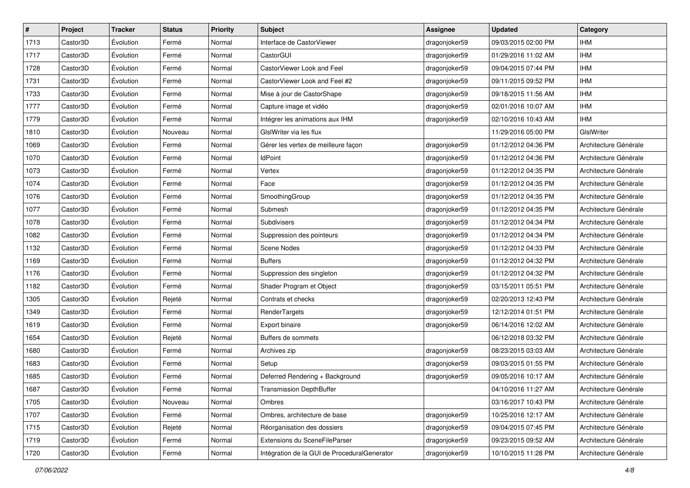| $\pmb{\#}$ | Project  | <b>Tracker</b> | <b>Status</b> | <b>Priority</b> | <b>Subject</b>                               | <b>Assignee</b> | <b>Updated</b>      | Category              |
|------------|----------|----------------|---------------|-----------------|----------------------------------------------|-----------------|---------------------|-----------------------|
| 1713       | Castor3D | Évolution      | Fermé         | Normal          | Interface de CastorViewer                    | dragonjoker59   | 09/03/2015 02:00 PM | <b>IHM</b>            |
| 1717       | Castor3D | Évolution      | Fermé         | Normal          | CastorGUI                                    | dragonjoker59   | 01/29/2016 11:02 AM | <b>IHM</b>            |
| 1728       | Castor3D | Évolution      | Fermé         | Normal          | CastorViewer Look and Feel                   | dragonjoker59   | 09/04/2015 07:44 PM | <b>IHM</b>            |
| 1731       | Castor3D | Évolution      | Fermé         | Normal          | CastorViewer Look and Feel #2                | dragonjoker59   | 09/11/2015 09:52 PM | <b>IHM</b>            |
| 1733       | Castor3D | Évolution      | Fermé         | Normal          | Mise à jour de CastorShape                   | dragonjoker59   | 09/18/2015 11:56 AM | <b>IHM</b>            |
| 1777       | Castor3D | Évolution      | Fermé         | Normal          | Capture image et vidéo                       | dragonjoker59   | 02/01/2016 10:07 AM | <b>IHM</b>            |
| 1779       | Castor3D | Évolution      | Fermé         | Normal          | Intégrer les animations aux IHM              | dragonjoker59   | 02/10/2016 10:43 AM | <b>IHM</b>            |
| 1810       | Castor3D | Évolution      | Nouveau       | Normal          | GIsIWriter via les flux                      |                 | 11/29/2016 05:00 PM | GIslWriter            |
| 1069       | Castor3D | Évolution      | Fermé         | Normal          | Gérer les vertex de meilleure façon          | dragonjoker59   | 01/12/2012 04:36 PM | Architecture Générale |
| 1070       | Castor3D | Évolution      | Fermé         | Normal          | <b>IdPoint</b>                               | dragonjoker59   | 01/12/2012 04:36 PM | Architecture Générale |
| 1073       | Castor3D | Évolution      | Fermé         | Normal          | Vertex                                       | dragonjoker59   | 01/12/2012 04:35 PM | Architecture Générale |
| 1074       | Castor3D | Évolution      | Fermé         | Normal          | Face                                         | dragonjoker59   | 01/12/2012 04:35 PM | Architecture Générale |
| 1076       | Castor3D | Évolution      | Fermé         | Normal          | SmoothingGroup                               | dragonjoker59   | 01/12/2012 04:35 PM | Architecture Générale |
| 1077       | Castor3D | Évolution      | Fermé         | Normal          | Submesh                                      | dragonjoker59   | 01/12/2012 04:35 PM | Architecture Générale |
| 1078       | Castor3D | Évolution      | Fermé         | Normal          | Subdivisers                                  | dragonjoker59   | 01/12/2012 04:34 PM | Architecture Générale |
| 1082       | Castor3D | Évolution      | Fermé         | Normal          | Suppression des pointeurs                    | dragonjoker59   | 01/12/2012 04:34 PM | Architecture Générale |
| 1132       | Castor3D | Évolution      | Fermé         | Normal          | <b>Scene Nodes</b>                           | dragonjoker59   | 01/12/2012 04:33 PM | Architecture Générale |
| 1169       | Castor3D | Évolution      | Fermé         | Normal          | <b>Buffers</b>                               | dragonjoker59   | 01/12/2012 04:32 PM | Architecture Générale |
| 1176       | Castor3D | Évolution      | Fermé         | Normal          | Suppression des singleton                    | dragonjoker59   | 01/12/2012 04:32 PM | Architecture Générale |
| 1182       | Castor3D | Évolution      | Fermé         | Normal          | Shader Program et Object                     | dragonjoker59   | 03/15/2011 05:51 PM | Architecture Générale |
| 1305       | Castor3D | Évolution      | Rejeté        | Normal          | Contrats et checks                           | dragonjoker59   | 02/20/2013 12:43 PM | Architecture Générale |
| 1349       | Castor3D | Évolution      | Fermé         | Normal          | RenderTargets                                | dragonjoker59   | 12/12/2014 01:51 PM | Architecture Générale |
| 1619       | Castor3D | Évolution      | Fermé         | Normal          | Export binaire                               | dragonjoker59   | 06/14/2016 12:02 AM | Architecture Générale |
| 1654       | Castor3D | Évolution      | Rejeté        | Normal          | Buffers de sommets                           |                 | 06/12/2018 03:32 PM | Architecture Générale |
| 1680       | Castor3D | Évolution      | Fermé         | Normal          | Archives zip                                 | dragonjoker59   | 08/23/2015 03:03 AM | Architecture Générale |
| 1683       | Castor3D | Évolution      | Fermé         | Normal          | Setup                                        | dragonjoker59   | 09/03/2015 01:55 PM | Architecture Générale |
| 1685       | Castor3D | Évolution      | Fermé         | Normal          | Deferred Rendering + Background              | dragonjoker59   | 09/05/2016 10:17 AM | Architecture Générale |
| 1687       | Castor3D | Évolution      | Fermé         | Normal          | <b>Transmission DepthBuffer</b>              |                 | 04/10/2016 11:27 AM | Architecture Générale |
| 1705       | Castor3D | Évolution      | Nouveau       | Normal          | Ombres                                       |                 | 03/16/2017 10:43 PM | Architecture Générale |
| 1707       | Castor3D | Évolution      | Fermé         | Normal          | Ombres, architecture de base                 | dragonjoker59   | 10/25/2016 12:17 AM | Architecture Générale |
| 1715       | Castor3D | Évolution      | Rejeté        | Normal          | Réorganisation des dossiers                  | dragonjoker59   | 09/04/2015 07:45 PM | Architecture Générale |
| 1719       | Castor3D | Évolution      | Fermé         | Normal          | Extensions du SceneFileParser                | dragonjoker59   | 09/23/2015 09:52 AM | Architecture Générale |
| 1720       | Castor3D | Évolution      | Fermé         | Normal          | Intégration de la GUI de ProceduralGenerator | dragonjoker59   | 10/10/2015 11:28 PM | Architecture Générale |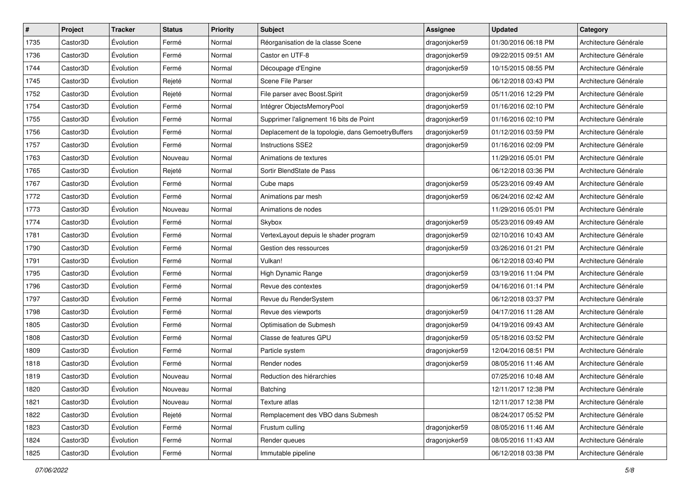| $\sharp$ | Project  | <b>Tracker</b> | <b>Status</b> | <b>Priority</b> | Subject                                           | <b>Assignee</b> | <b>Updated</b>      | Category              |
|----------|----------|----------------|---------------|-----------------|---------------------------------------------------|-----------------|---------------------|-----------------------|
| 1735     | Castor3D | Évolution      | Fermé         | Normal          | Réorganisation de la classe Scene                 | dragonjoker59   | 01/30/2016 06:18 PM | Architecture Générale |
| 1736     | Castor3D | Évolution      | Fermé         | Normal          | Castor en UTF-8                                   | dragonjoker59   | 09/22/2015 09:51 AM | Architecture Générale |
| 1744     | Castor3D | Évolution      | Fermé         | Normal          | Découpage d'Engine                                | dragonjoker59   | 10/15/2015 08:55 PM | Architecture Générale |
| 1745     | Castor3D | Évolution      | Rejeté        | Normal          | Scene File Parser                                 |                 | 06/12/2018 03:43 PM | Architecture Générale |
| 1752     | Castor3D | Évolution      | Rejeté        | Normal          | File parser avec Boost.Spirit                     | dragonjoker59   | 05/11/2016 12:29 PM | Architecture Générale |
| 1754     | Castor3D | Évolution      | Fermé         | Normal          | Intégrer ObjectsMemoryPool                        | dragonjoker59   | 01/16/2016 02:10 PM | Architecture Générale |
| 1755     | Castor3D | Évolution      | Fermé         | Normal          | Supprimer l'alignement 16 bits de Point           | dragonjoker59   | 01/16/2016 02:10 PM | Architecture Générale |
| 1756     | Castor3D | Évolution      | Fermé         | Normal          | Deplacement de la topologie, dans GemoetryBuffers | dragonjoker59   | 01/12/2016 03:59 PM | Architecture Générale |
| 1757     | Castor3D | Évolution      | Fermé         | Normal          | <b>Instructions SSE2</b>                          | dragonjoker59   | 01/16/2016 02:09 PM | Architecture Générale |
| 1763     | Castor3D | Évolution      | Nouveau       | Normal          | Animations de textures                            |                 | 11/29/2016 05:01 PM | Architecture Générale |
| 1765     | Castor3D | Évolution      | Rejeté        | Normal          | Sortir BlendState de Pass                         |                 | 06/12/2018 03:36 PM | Architecture Générale |
| 1767     | Castor3D | Évolution      | Fermé         | Normal          | Cube maps                                         | dragonjoker59   | 05/23/2016 09:49 AM | Architecture Générale |
| 1772     | Castor3D | Évolution      | Fermé         | Normal          | Animations par mesh                               | dragonjoker59   | 06/24/2016 02:42 AM | Architecture Générale |
| 1773     | Castor3D | Évolution      | Nouveau       | Normal          | Animations de nodes                               |                 | 11/29/2016 05:01 PM | Architecture Générale |
| 1774     | Castor3D | Évolution      | Fermé         | Normal          | Skybox                                            | dragonjoker59   | 05/23/2016 09:49 AM | Architecture Générale |
| 1781     | Castor3D | Évolution      | Fermé         | Normal          | VertexLayout depuis le shader program             | dragonjoker59   | 02/10/2016 10:43 AM | Architecture Générale |
| 1790     | Castor3D | Évolution      | Fermé         | Normal          | Gestion des ressources                            | dragonjoker59   | 03/26/2016 01:21 PM | Architecture Générale |
| 1791     | Castor3D | Évolution      | Fermé         | Normal          | Vulkan!                                           |                 | 06/12/2018 03:40 PM | Architecture Générale |
| 1795     | Castor3D | Évolution      | Fermé         | Normal          | High Dynamic Range                                | dragonjoker59   | 03/19/2016 11:04 PM | Architecture Générale |
| 1796     | Castor3D | Évolution      | Fermé         | Normal          | Revue des contextes                               | dragonjoker59   | 04/16/2016 01:14 PM | Architecture Générale |
| 1797     | Castor3D | Évolution      | Fermé         | Normal          | Revue du RenderSystem                             |                 | 06/12/2018 03:37 PM | Architecture Générale |
| 1798     | Castor3D | Évolution      | Fermé         | Normal          | Revue des viewports                               | dragonjoker59   | 04/17/2016 11:28 AM | Architecture Générale |
| 1805     | Castor3D | Évolution      | Fermé         | Normal          | Optimisation de Submesh                           | dragonjoker59   | 04/19/2016 09:43 AM | Architecture Générale |
| 1808     | Castor3D | Évolution      | Fermé         | Normal          | Classe de features GPU                            | dragonjoker59   | 05/18/2016 03:52 PM | Architecture Générale |
| 1809     | Castor3D | Évolution      | Fermé         | Normal          | Particle system                                   | dragonjoker59   | 12/04/2016 08:51 PM | Architecture Générale |
| 1818     | Castor3D | Évolution      | Fermé         | Normal          | Render nodes                                      | dragonjoker59   | 08/05/2016 11:46 AM | Architecture Générale |
| 1819     | Castor3D | Évolution      | Nouveau       | Normal          | Reduction des hiérarchies                         |                 | 07/25/2016 10:48 AM | Architecture Générale |
| 1820     | Castor3D | Évolution      | Nouveau       | Normal          | Batching                                          |                 | 12/11/2017 12:38 PM | Architecture Générale |
| 1821     | Castor3D | Evolution      | Nouveau       | Normal          | Texture atlas                                     |                 | 12/11/2017 12:38 PM | Architecture Générale |
| 1822     | Castor3D | Évolution      | Rejeté        | Normal          | Remplacement des VBO dans Submesh                 |                 | 08/24/2017 05:52 PM | Architecture Générale |
| 1823     | Castor3D | Évolution      | Fermé         | Normal          | Frustum culling                                   | dragonjoker59   | 08/05/2016 11:46 AM | Architecture Générale |
| 1824     | Castor3D | Évolution      | Fermé         | Normal          | Render queues                                     | dragonjoker59   | 08/05/2016 11:43 AM | Architecture Générale |
| 1825     | Castor3D | Évolution      | Fermé         | Normal          | Immutable pipeline                                |                 | 06/12/2018 03:38 PM | Architecture Générale |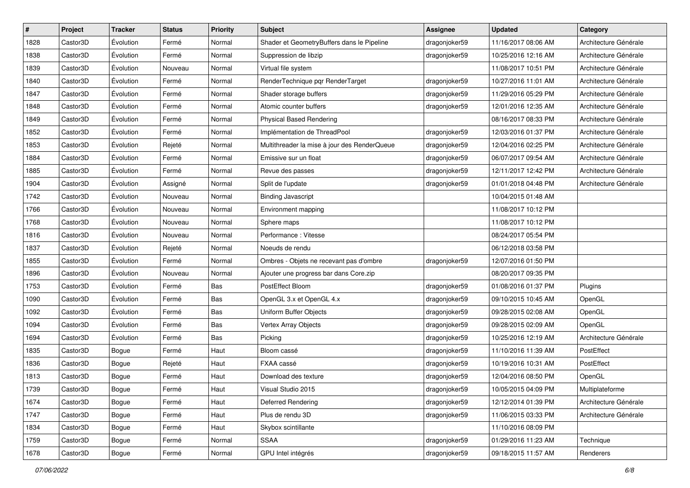| #    | Project  | <b>Tracker</b> | <b>Status</b> | <b>Priority</b> | Subject                                      | <b>Assignee</b> | <b>Updated</b>      | Category              |
|------|----------|----------------|---------------|-----------------|----------------------------------------------|-----------------|---------------------|-----------------------|
| 1828 | Castor3D | Évolution      | Fermé         | Normal          | Shader et GeometryBuffers dans le Pipeline   | dragonjoker59   | 11/16/2017 08:06 AM | Architecture Générale |
| 1838 | Castor3D | Évolution      | Fermé         | Normal          | Suppression de libzip                        | dragonjoker59   | 10/25/2016 12:16 AM | Architecture Générale |
| 1839 | Castor3D | Évolution      | Nouveau       | Normal          | Virtual file system                          |                 | 11/08/2017 10:51 PM | Architecture Générale |
| 1840 | Castor3D | Évolution      | Fermé         | Normal          | RenderTechnique pqr RenderTarget             | dragonjoker59   | 10/27/2016 11:01 AM | Architecture Générale |
| 1847 | Castor3D | Évolution      | Fermé         | Normal          | Shader storage buffers                       | dragonjoker59   | 11/29/2016 05:29 PM | Architecture Générale |
| 1848 | Castor3D | Évolution      | Fermé         | Normal          | Atomic counter buffers                       | dragonjoker59   | 12/01/2016 12:35 AM | Architecture Générale |
| 1849 | Castor3D | Évolution      | Fermé         | Normal          | <b>Physical Based Rendering</b>              |                 | 08/16/2017 08:33 PM | Architecture Générale |
| 1852 | Castor3D | Évolution      | Fermé         | Normal          | Implémentation de ThreadPool                 | dragonjoker59   | 12/03/2016 01:37 PM | Architecture Générale |
| 1853 | Castor3D | Évolution      | Rejeté        | Normal          | Multithreader la mise à jour des RenderQueue | dragonjoker59   | 12/04/2016 02:25 PM | Architecture Générale |
| 1884 | Castor3D | Évolution      | Fermé         | Normal          | Emissive sur un float                        | dragonjoker59   | 06/07/2017 09:54 AM | Architecture Générale |
| 1885 | Castor3D | Évolution      | Fermé         | Normal          | Revue des passes                             | dragonjoker59   | 12/11/2017 12:42 PM | Architecture Générale |
| 1904 | Castor3D | Évolution      | Assigné       | Normal          | Split de l'update                            | dragonjoker59   | 01/01/2018 04:48 PM | Architecture Générale |
| 1742 | Castor3D | Évolution      | Nouveau       | Normal          | <b>Binding Javascript</b>                    |                 | 10/04/2015 01:48 AM |                       |
| 1766 | Castor3D | Évolution      | Nouveau       | Normal          | Environment mapping                          |                 | 11/08/2017 10:12 PM |                       |
| 1768 | Castor3D | Évolution      | Nouveau       | Normal          | Sphere maps                                  |                 | 11/08/2017 10:12 PM |                       |
| 1816 | Castor3D | Évolution      | Nouveau       | Normal          | Performance: Vitesse                         |                 | 08/24/2017 05:54 PM |                       |
| 1837 | Castor3D | Évolution      | Rejeté        | Normal          | Noeuds de rendu                              |                 | 06/12/2018 03:58 PM |                       |
| 1855 | Castor3D | Évolution      | Fermé         | Normal          | Ombres - Objets ne recevant pas d'ombre      | dragonjoker59   | 12/07/2016 01:50 PM |                       |
| 1896 | Castor3D | Évolution      | Nouveau       | Normal          | Ajouter une progress bar dans Core.zip       |                 | 08/20/2017 09:35 PM |                       |
| 1753 | Castor3D | Évolution      | Fermé         | Bas             | PostEffect Bloom                             | dragonjoker59   | 01/08/2016 01:37 PM | Plugins               |
| 1090 | Castor3D | Évolution      | Fermé         | Bas             | OpenGL 3.x et OpenGL 4.x                     | dragonjoker59   | 09/10/2015 10:45 AM | OpenGL                |
| 1092 | Castor3D | Évolution      | Fermé         | Bas             | Uniform Buffer Objects                       | dragonjoker59   | 09/28/2015 02:08 AM | OpenGL                |
| 1094 | Castor3D | Évolution      | Fermé         | Bas             | Vertex Array Objects                         | dragonjoker59   | 09/28/2015 02:09 AM | OpenGL                |
| 1694 | Castor3D | Évolution      | Fermé         | Bas             | Picking                                      | dragonjoker59   | 10/25/2016 12:19 AM | Architecture Générale |
| 1835 | Castor3D | <b>Bogue</b>   | Fermé         | Haut            | Bloom cassé                                  | dragonjoker59   | 11/10/2016 11:39 AM | PostEffect            |
| 1836 | Castor3D | Bogue          | Rejeté        | Haut            | FXAA cassé                                   | dragonjoker59   | 10/19/2016 10:31 AM | PostEffect            |
| 1813 | Castor3D | Bogue          | Fermé         | Haut            | Download des texture                         | dragonjoker59   | 12/04/2016 08:50 PM | OpenGL                |
| 1739 | Castor3D | Bogue          | Fermé         | Haut            | Visual Studio 2015                           | dragonjoker59   | 10/05/2015 04:09 PM | Multiplateforme       |
| 1674 | Castor3D | Bogue          | Fermé         | Haut            | Deferred Rendering                           | dragonjoker59   | 12/12/2014 01:39 PM | Architecture Générale |
| 1747 | Castor3D | Bogue          | Fermé         | Haut            | Plus de rendu 3D                             | dragonjoker59   | 11/06/2015 03:33 PM | Architecture Générale |
| 1834 | Castor3D | Bogue          | Fermé         | Haut            | Skybox scintillante                          |                 | 11/10/2016 08:09 PM |                       |
| 1759 | Castor3D | Bogue          | Fermé         | Normal          | <b>SSAA</b>                                  | dragonjoker59   | 01/29/2016 11:23 AM | Technique             |
| 1678 | Castor3D | Bogue          | Fermé         | Normal          | GPU Intel intégrés                           | dragonjoker59   | 09/18/2015 11:57 AM | Renderers             |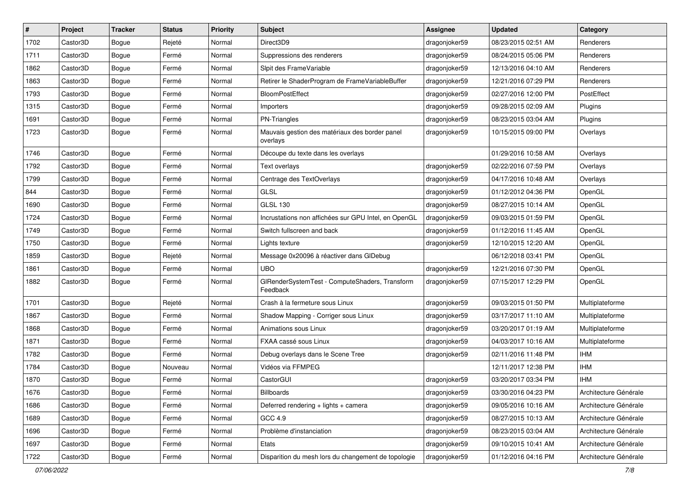| $\sharp$ | Project  | <b>Tracker</b> | <b>Status</b> | <b>Priority</b> | <b>Subject</b>                                             | <b>Assignee</b> | <b>Updated</b>      | Category              |
|----------|----------|----------------|---------------|-----------------|------------------------------------------------------------|-----------------|---------------------|-----------------------|
| 1702     | Castor3D | Bogue          | Rejeté        | Normal          | Direct3D9                                                  | dragonjoker59   | 08/23/2015 02:51 AM | Renderers             |
| 1711     | Castor3D | <b>Bogue</b>   | Fermé         | Normal          | Suppressions des renderers                                 | dragonjoker59   | 08/24/2015 05:06 PM | Renderers             |
| 1862     | Castor3D | Bogue          | Fermé         | Normal          | Sipit des FrameVariable                                    | dragonjoker59   | 12/13/2016 04:10 AM | Renderers             |
| 1863     | Castor3D | Bogue          | Fermé         | Normal          | Retirer le ShaderProgram de FrameVariableBuffer            | dragonjoker59   | 12/21/2016 07:29 PM | Renderers             |
| 1793     | Castor3D | <b>Bogue</b>   | Fermé         | Normal          | <b>BloomPostEffect</b>                                     | dragonjoker59   | 02/27/2016 12:00 PM | PostEffect            |
| 1315     | Castor3D | Bogue          | Fermé         | Normal          | Importers                                                  | dragonjoker59   | 09/28/2015 02:09 AM | Plugins               |
| 1691     | Castor3D | <b>Bogue</b>   | Fermé         | Normal          | PN-Triangles                                               | dragonjoker59   | 08/23/2015 03:04 AM | Plugins               |
| 1723     | Castor3D | Bogue          | Fermé         | Normal          | Mauvais gestion des matériaux des border panel<br>overlays | dragonjoker59   | 10/15/2015 09:00 PM | Overlays              |
| 1746     | Castor3D | Bogue          | Fermé         | Normal          | Découpe du texte dans les overlays                         |                 | 01/29/2016 10:58 AM | Overlays              |
| 1792     | Castor3D | Bogue          | Fermé         | Normal          | Text overlays                                              | dragonjoker59   | 02/22/2016 07:59 PM | Overlays              |
| 1799     | Castor3D | Bogue          | Fermé         | Normal          | Centrage des TextOverlays                                  | dragonjoker59   | 04/17/2016 10:48 AM | Overlays              |
| 844      | Castor3D | Bogue          | Fermé         | Normal          | GLSL                                                       | dragonjoker59   | 01/12/2012 04:36 PM | OpenGL                |
| 1690     | Castor3D | Bogue          | Fermé         | Normal          | <b>GLSL 130</b>                                            | dragonjoker59   | 08/27/2015 10:14 AM | OpenGL                |
| 1724     | Castor3D | <b>Bogue</b>   | Fermé         | Normal          | Incrustations non affichées sur GPU Intel, en OpenGL       | dragonjoker59   | 09/03/2015 01:59 PM | OpenGL                |
| 1749     | Castor3D | Bogue          | Fermé         | Normal          | Switch fullscreen and back                                 | dragonjoker59   | 01/12/2016 11:45 AM | OpenGL                |
| 1750     | Castor3D | Bogue          | Fermé         | Normal          | Lights texture                                             | dragonjoker59   | 12/10/2015 12:20 AM | OpenGL                |
| 1859     | Castor3D | Bogue          | Rejeté        | Normal          | Message 0x20096 à réactiver dans GIDebug                   |                 | 06/12/2018 03:41 PM | OpenGL                |
| 1861     | Castor3D | Bogue          | Fermé         | Normal          | <b>UBO</b>                                                 | dragonjoker59   | 12/21/2016 07:30 PM | OpenGL                |
| 1882     | Castor3D | Bogue          | Fermé         | Normal          | GIRenderSystemTest - ComputeShaders, Transform<br>Feedback | dragonjoker59   | 07/15/2017 12:29 PM | OpenGL                |
| 1701     | Castor3D | Bogue          | Rejeté        | Normal          | Crash à la fermeture sous Linux                            | dragonjoker59   | 09/03/2015 01:50 PM | Multiplateforme       |
| 1867     | Castor3D | <b>Bogue</b>   | Fermé         | Normal          | Shadow Mapping - Corriger sous Linux                       | dragonjoker59   | 03/17/2017 11:10 AM | Multiplateforme       |
| 1868     | Castor3D | Bogue          | Fermé         | Normal          | Animations sous Linux                                      | dragonjoker59   | 03/20/2017 01:19 AM | Multiplateforme       |
| 1871     | Castor3D | Bogue          | Fermé         | Normal          | FXAA cassé sous Linux                                      | dragonjoker59   | 04/03/2017 10:16 AM | Multiplateforme       |
| 1782     | Castor3D | <b>Bogue</b>   | Fermé         | Normal          | Debug overlays dans le Scene Tree                          | dragonjoker59   | 02/11/2016 11:48 PM | <b>IHM</b>            |
| 1784     | Castor3D | Bogue          | Nouveau       | Normal          | Vidéos via FFMPEG                                          |                 | 12/11/2017 12:38 PM | <b>IHM</b>            |
| 1870     | Castor3D | Bogue          | Fermé         | Normal          | CastorGUI                                                  | dragonjoker59   | 03/20/2017 03:34 PM | <b>IHM</b>            |
| 1676     | Castor3D | Bogue          | Fermé         | Normal          | Billboards                                                 | dragonjoker59   | 03/30/2016 04:23 PM | Architecture Générale |
| 1686     | Castor3D | Bogue          | Fermé         | Normal          | Deferred rendering + lights + camera                       | dragonjoker59   | 09/05/2016 10:16 AM | Architecture Générale |
| 1689     | Castor3D | Bogue          | Fermé         | Normal          | GCC 4.9                                                    | dragonjoker59   | 08/27/2015 10:13 AM | Architecture Générale |
| 1696     | Castor3D | Bogue          | Fermé         | Normal          | Problème d'instanciation                                   | dragonjoker59   | 08/23/2015 03:04 AM | Architecture Générale |
| 1697     | Castor3D | Bogue          | Fermé         | Normal          | Etats                                                      | dragonjoker59   | 09/10/2015 10:41 AM | Architecture Générale |
| 1722     | Castor3D | Bogue          | Fermé         | Normal          | Disparition du mesh lors du changement de topologie        | dragonjoker59   | 01/12/2016 04:16 PM | Architecture Générale |